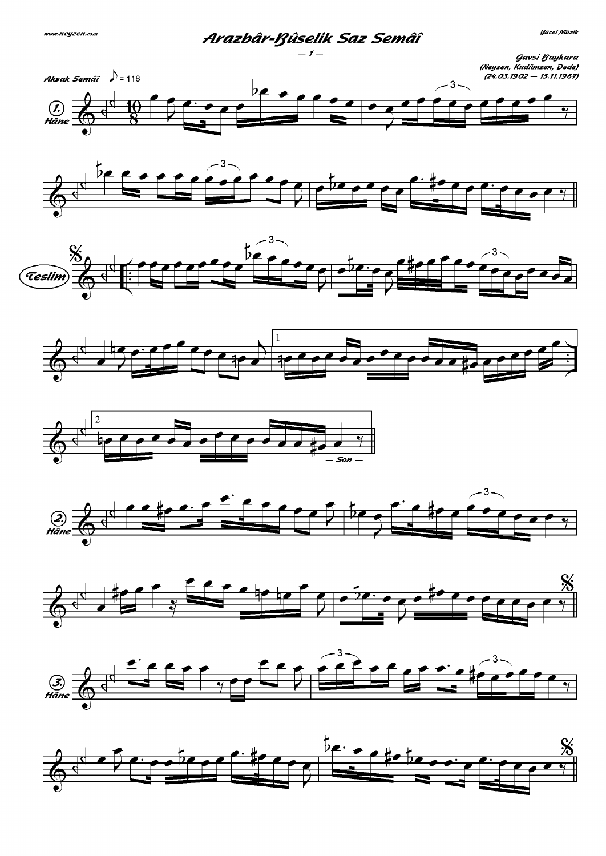## Arazbâr-Bûselik Saz Semâî